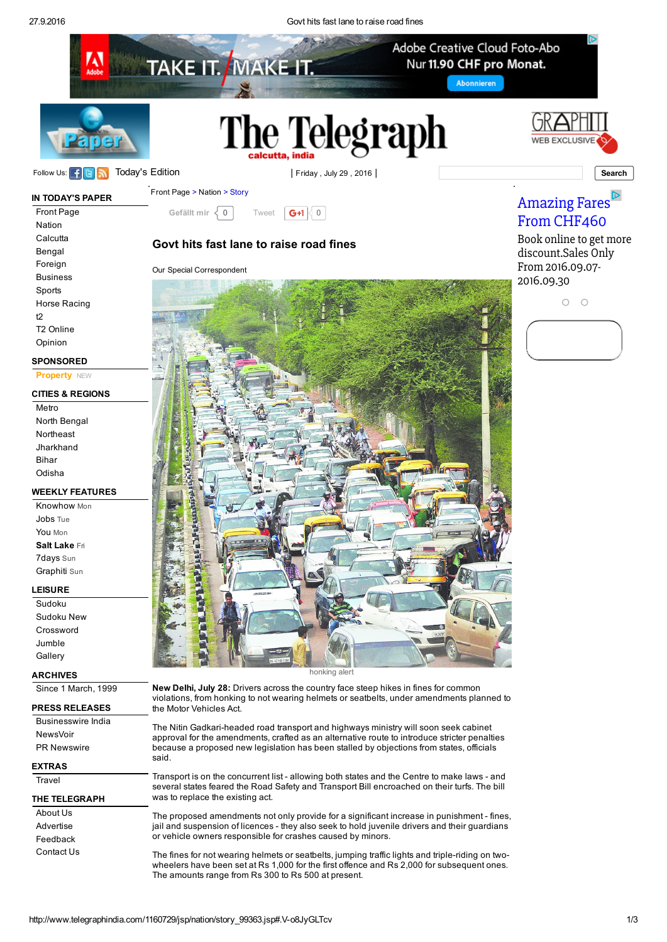